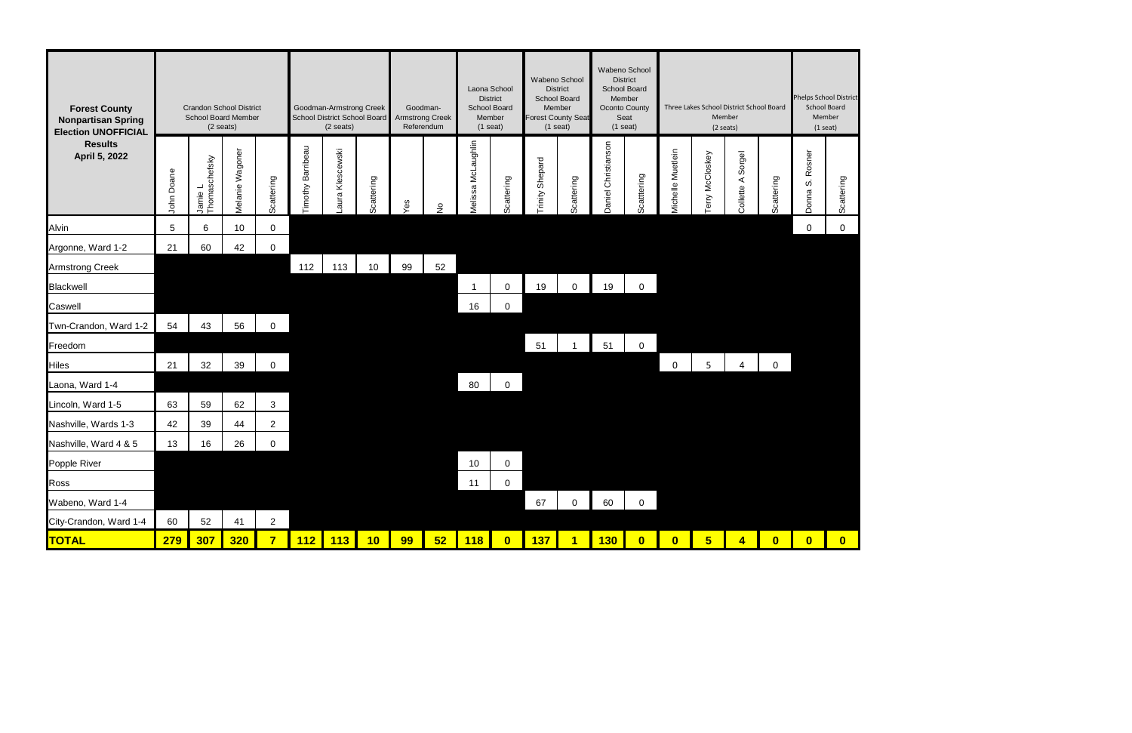

| <b>Forest County</b><br><b>Nonpartisan Spring</b><br><b>Election UNOFFICIAL</b><br><b>Results</b><br>April 5, 2022 | <b>Crandon School District</b><br><b>School Board Member</b><br>$(2 \text{ seats})$ |                          |                 |                | Goodman-Armstrong Creek<br>School District School Board<br>(2 seats) |                    |            | Goodman-<br><b>Armstrong Creek</b><br>Referendum |                   | Laona School<br><b>District</b><br>School Board<br>Member<br>$(1$ seat) |             | Wabeno School<br><b>District</b><br>School Board<br>Member<br><b>Forest County Seat</b><br>$(1$ seat) |            | Wabeno School<br><b>District</b><br>School Board<br>Member<br>Oconto County<br>Seat<br>$(1$ seat) |                | Three Lakes School District School Board<br>Member<br>$(2 \text{ seats})$ |                   |                   | <b>Phelps School District</b><br><b>School Board</b><br>Member<br>$(1$ seat) |                                   |            |
|--------------------------------------------------------------------------------------------------------------------|-------------------------------------------------------------------------------------|--------------------------|-----------------|----------------|----------------------------------------------------------------------|--------------------|------------|--------------------------------------------------|-------------------|-------------------------------------------------------------------------|-------------|-------------------------------------------------------------------------------------------------------|------------|---------------------------------------------------------------------------------------------------|----------------|---------------------------------------------------------------------------|-------------------|-------------------|------------------------------------------------------------------------------|-----------------------------------|------------|
|                                                                                                                    | John Doane                                                                          | Jamie L<br>Thomaschefsky | Melanie Wagoner | Scattering     | Barribeau<br>Timothy                                                 | Klescewski<br>aura | Scattering | δ9                                               | $\frac{\circ}{2}$ | McLaughlin<br>Melissa                                                   | Scattering  | Shepard<br>rinity                                                                                     | Scattering | Daniel Christianson                                                                               | Scattering     | Michelle Muetlein                                                         | McCloskey<br>erry | Collette A Sorgel | Scattering                                                                   | Rosner<br>$\dot{\omega}$<br>Donna | Scattering |
| Alvin                                                                                                              | 5                                                                                   | 6                        | 10              | 0              |                                                                      |                    |            |                                                  |                   |                                                                         |             |                                                                                                       |            |                                                                                                   |                |                                                                           |                   |                   |                                                                              | 0                                 | 0          |
| Argonne, Ward 1-2                                                                                                  | 21                                                                                  | 60                       | 42              | 0              |                                                                      |                    |            |                                                  |                   |                                                                         |             |                                                                                                       |            |                                                                                                   |                |                                                                           |                   |                   |                                                                              |                                   |            |
| <b>Armstrong Creek</b>                                                                                             |                                                                                     |                          |                 |                | 112                                                                  | 113                | 10         | 99                                               | 52                |                                                                         |             |                                                                                                       |            |                                                                                                   |                |                                                                           |                   |                   |                                                                              |                                   |            |
| <b>Blackwell</b>                                                                                                   |                                                                                     |                          |                 |                |                                                                      |                    |            |                                                  |                   |                                                                         | $\mathbf 0$ | 19                                                                                                    | $\Omega$   | 19                                                                                                | $\overline{0}$ |                                                                           |                   |                   |                                                                              |                                   |            |
| Caswell                                                                                                            |                                                                                     |                          |                 |                |                                                                      |                    |            |                                                  |                   | 16                                                                      | $\mathbf 0$ |                                                                                                       |            |                                                                                                   |                |                                                                           |                   |                   |                                                                              |                                   |            |
| Twn-Crandon, Ward 1-2                                                                                              | 54                                                                                  | 43                       | 56              | $\mathbf{0}$   |                                                                      |                    |            |                                                  |                   |                                                                         |             |                                                                                                       |            |                                                                                                   |                |                                                                           |                   |                   |                                                                              |                                   |            |
| Freedom                                                                                                            |                                                                                     |                          |                 |                |                                                                      |                    |            |                                                  |                   |                                                                         |             | 51                                                                                                    |            | 51                                                                                                | 0              |                                                                           |                   |                   |                                                                              |                                   |            |
| <b>Hiles</b>                                                                                                       | 21                                                                                  | 32                       | 39              | 0              |                                                                      |                    |            |                                                  |                   |                                                                         |             |                                                                                                       |            |                                                                                                   |                | 0                                                                         | 5                 | 4                 | $\mathbf{0}$                                                                 |                                   |            |
| Laona, Ward 1-4                                                                                                    |                                                                                     |                          |                 |                |                                                                      |                    |            |                                                  |                   | 80                                                                      | $\mathbf 0$ |                                                                                                       |            |                                                                                                   |                |                                                                           |                   |                   |                                                                              |                                   |            |
| Lincoln, Ward 1-5                                                                                                  | 63                                                                                  | 59                       | 62              | 3              |                                                                      |                    |            |                                                  |                   |                                                                         |             |                                                                                                       |            |                                                                                                   |                |                                                                           |                   |                   |                                                                              |                                   |            |
| Nashville, Wards 1-3                                                                                               | 42                                                                                  | 39                       | 44              | $\overline{2}$ |                                                                      |                    |            |                                                  |                   |                                                                         |             |                                                                                                       |            |                                                                                                   |                |                                                                           |                   |                   |                                                                              |                                   |            |
| Nashville, Ward 4 & 5                                                                                              | 13                                                                                  | 16                       | 26              | $\mathbf{0}$   |                                                                      |                    |            |                                                  |                   |                                                                         |             |                                                                                                       |            |                                                                                                   |                |                                                                           |                   |                   |                                                                              |                                   |            |
| Popple River                                                                                                       |                                                                                     |                          |                 |                |                                                                      |                    |            |                                                  |                   | 10                                                                      | $\mathbf 0$ |                                                                                                       |            |                                                                                                   |                |                                                                           |                   |                   |                                                                              |                                   |            |
| Ross                                                                                                               |                                                                                     |                          |                 |                |                                                                      |                    |            |                                                  |                   | 11                                                                      | $\mathbf 0$ |                                                                                                       |            |                                                                                                   |                |                                                                           |                   |                   |                                                                              |                                   |            |
| Wabeno, Ward 1-4                                                                                                   |                                                                                     |                          |                 |                |                                                                      |                    |            |                                                  |                   |                                                                         |             | 67                                                                                                    | 0          | 60                                                                                                | $\overline{0}$ |                                                                           |                   |                   |                                                                              |                                   |            |
| City-Crandon, Ward 1-4                                                                                             | 60                                                                                  | 52                       | 41              | $\overline{2}$ |                                                                      |                    |            |                                                  |                   |                                                                         |             |                                                                                                       |            |                                                                                                   |                |                                                                           |                   |                   |                                                                              |                                   |            |
| <b>TOTAL</b>                                                                                                       | <b>279</b>                                                                          | <b>307</b>               | <b>320</b>      | 7 <sup>7</sup> |                                                                      | 112 113 10         |            | 99                                               | $52$              | 118                                                                     | $\bullet$   | <mark>137  </mark>                                                                                    | $\sqrt{1}$ | 130                                                                                               | $\bullet$      | $\bullet$                                                                 | 5 <sub>5</sub>    | $\overline{4}$    | $\overline{\mathbf{0}}$                                                      | $\overline{\mathbf{0}}$           | $\bullet$  |